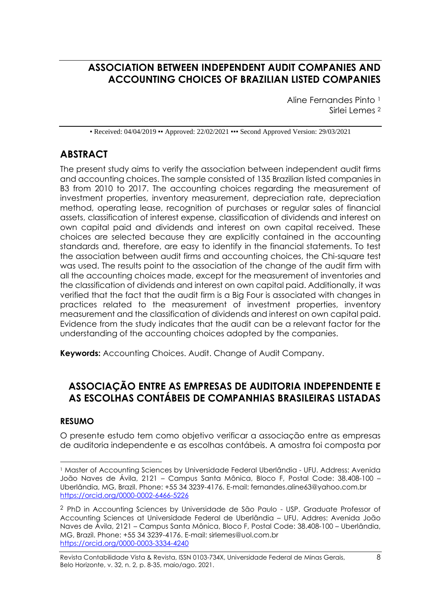# **ASSOCIATION BETWEEN INDEPENDENT AUDIT COMPANIES AND ACCOUNTING CHOICES OF BRAZILIAN LISTED COMPANIES**

Aline Fernandes Pinto <sup>1</sup> Sirlei Lemes <sup>2</sup>

• Received: 04/04/2019 • Approved: 22/02/2021 •• Second Approved Version: 29/03/2021

# **ABSTRACT**

The present study aims to verify the association between independent audit firms and accounting choices. The sample consisted of 135 Brazilian listed companies in B3 from 2010 to 2017. The accounting choices regarding the measurement of investment properties, inventory measurement, depreciation rate, depreciation method, operating lease, recognition of purchases or regular sales of financial assets, classification of interest expense, classification of dividends and interest on own capital paid and dividends and interest on own capital received. These choices are selected because they are explicitly contained in the accounting standards and, therefore, are easy to identify in the financial statements. To test the association between audit firms and accounting choices, the Chi-square test was used. The results point to the association of the change of the audit firm with all the accounting choices made, except for the measurement of inventories and the classification of dividends and interest on own capital paid. Additionally, it was verified that the fact that the audit firm is a Big Four is associated with changes in practices related to the measurement of investment properties, inventory measurement and the classification of dividends and interest on own capital paid. Evidence from the study indicates that the audit can be a relevant factor for the understanding of the accounting choices adopted by the companies.

**Keywords:** Accounting Choices. Audit. Change of Audit Company.

### **ASSOCIAÇÃO ENTRE AS EMPRESAS DE AUDITORIA INDEPENDENTE E AS ESCOLHAS CONTÁBEIS DE COMPANHIAS BRASILEIRAS LISTADAS**

### **RESUMO**

O presente estudo tem como objetivo verificar a associação entre as empresas de auditoria independente e as escolhas contábeis. A amostra foi composta por

<sup>1</sup> Master of Accounting Sciences by Universidade Federal Uberlândia - UFU. Address: Avenida João Naves de Ávila, 2121 – Campus Santa Mônica, Bloco F, Postal Code: 38.408-100 – Uberlândia, MG, Brazil. Phone: +55 34 3239-4176. E-mail: fernandes.aline63@yahoo.com.br <https://orcid.org/0000-0002-6466-5226>

<sup>2</sup> PhD in Accounting Sciences by Universidade de São Paulo - USP. Graduate Professor of Accounting Sciences at Universidade Federal de Uberlândia – UFU. Addres: Avenida João Naves de Ávila, 2121 – Campus Santa Mônica, Bloco F, Postal Code: 38.408-100 – Uberlândia, MG, Brazil. Phone: +55 34 3239-4176. E-mail: sirlemes@uol.com.br https://orcid.org/0000-0003-3334-4240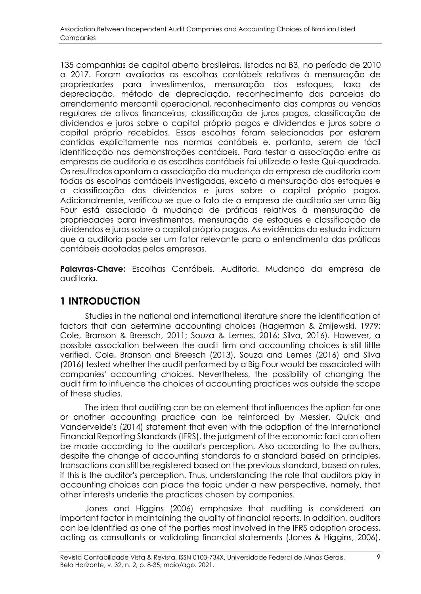135 companhias de capital aberto brasileiras, listadas na B3, no período de 2010 a 2017. Foram avaliadas as escolhas contábeis relativas à mensuração de propriedades para investimentos, mensuração dos estoques, taxa de depreciação, método de depreciação, reconhecimento das parcelas do arrendamento mercantil operacional, reconhecimento das compras ou vendas regulares de ativos financeiros, classificação de juros pagos, classificação de dividendos e juros sobre o capital próprio pagos e dividendos e juros sobre o capital próprio recebidos. Essas escolhas foram selecionadas por estarem contidas explicitamente nas normas contábeis e, portanto, serem de fácil identificação nas demonstrações contábeis. Para testar a associação entre as empresas de auditoria e as escolhas contábeis foi utilizado o teste Qui-quadrado. Os resultados apontam a associação da mudança da empresa de auditoria com todas as escolhas contábeis investigadas, exceto a mensuração dos estoques e a classificação dos dividendos e juros sobre o capital próprio pagos. Adicionalmente, verificou-se que o fato de a empresa de auditoria ser uma Big Four está associado à mudança de práticas relativas à mensuração de propriedades para investimentos, mensuração de estoques e classificação de dividendos e juros sobre o capital próprio pagos. As evidências do estudo indicam que a auditoria pode ser um fator relevante para o entendimento das práticas contábeis adotadas pelas empresas.

**Palavras-Chave:** Escolhas Contábeis. Auditoria. Mudança da empresa de auditoria.

# **1 INTRODUCTION**

Studies in the national and international literature share the identification of factors that can determine accounting choices (Hagerman & Zmijewski, 1979; Cole, Branson & Breesch, 2011; Souza & Lemes, 2016; Silva, 2016). However, a possible association between the audit firm and accounting choices is still little verified. Cole, Branson and Breesch (2013), Souza and Lemes (2016) and Silva (2016) tested whether the audit performed by a Big Four would be associated with companies' accounting choices. Nevertheless, the possibility of changing the audit firm to influence the choices of accounting practices was outside the scope of these studies.

The idea that auditing can be an element that influences the option for one or another accounting practice can be reinforced by Messier, Quick and Vandervelde's (2014) statement that even with the adoption of the International Financial Reporting Standards (IFRS), the judgment of the economic fact can often be made according to the auditor's perception. Also according to the authors, despite the change of accounting standards to a standard based on principles, transactions can still be registered based on the previous standard, based on rules, if this is the auditor's perception. Thus, understanding the role that auditors play in accounting choices can place the topic under a new perspective, namely, that other interests underlie the practices chosen by companies.

Jones and Higgins (2006) emphasize that auditing is considered an important factor in maintaining the quality of financial reports. In addition, auditors can be identified as one of the parties most involved in the IFRS adoption process, acting as consultants or validating financial statements (Jones & Higgins, 2006).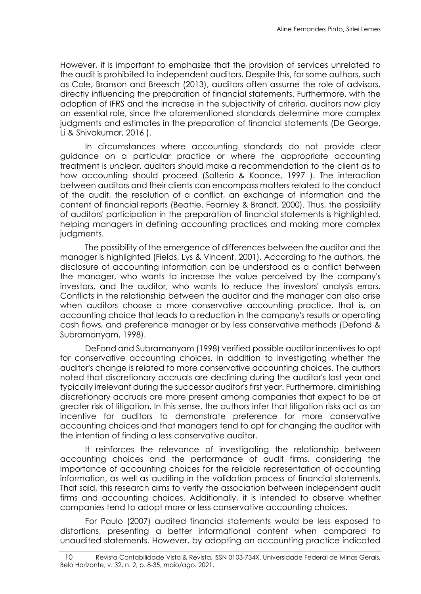However, it is important to emphasize that the provision of services unrelated to the audit is prohibited to independent auditors. Despite this, for some authors, such as Cole, Branson and Breesch (2013), auditors often assume the role of advisors, directly influencing the preparation of financial statements. Furthermore, with the adoption of IFRS and the increase in the subjectivity of criteria, auditors now play an essential role, since the aforementioned standards determine more complex judgments and estimates in the preparation of financial statements (De George, Li & Shivakumar, 2016 ).

In circumstances where accounting standards do not provide clear guidance on a particular practice or where the appropriate accounting treatment is unclear, auditors should make a recommendation to the client as to how accounting should proceed (Salterio & Koonce, 1997 ). The interaction between auditors and their clients can encompass matters related to the conduct of the audit, the resolution of a conflict, an exchange of information and the content of financial reports (Beattie, Fearnley & Brandt, 2000). Thus, the possibility of auditors' participation in the preparation of financial statements is highlighted, helping managers in defining accounting practices and making more complex judgments.

The possibility of the emergence of differences between the auditor and the manager is highlighted (Fields, Lys & Vincent, 2001). According to the authors, the disclosure of accounting information can be understood as a conflict between the manager, who wants to increase the value perceived by the company's investors, and the auditor, who wants to reduce the investors' analysis errors. Conflicts in the relationship between the auditor and the manager can also arise when auditors choose a more conservative accounting practice, that is, an accounting choice that leads to a reduction in the company's results or operating cash flows, and preference manager or by less conservative methods (Defond & Subramanyam, 1998).

DeFond and Subramanyam (1998) verified possible auditor incentives to opt for conservative accounting choices, in addition to investigating whether the auditor's change is related to more conservative accounting choices. The authors noted that discretionary accruals are declining during the auditor's last year and typically irrelevant during the successor auditor's first year. Furthermore, diminishing discretionary accruals are more present among companies that expect to be at greater risk of litigation. In this sense, the authors infer that litigation risks act as an incentive for auditors to demonstrate preference for more conservative accounting choices and that managers tend to opt for changing the auditor with the intention of finding a less conservative auditor.

It reinforces the relevance of investigating the relationship between accounting choices and the performance of audit firms, considering the importance of accounting choices for the reliable representation of accounting information, as well as auditing in the validation process of financial statements. That said, this research aims to verify the association between independent audit firms and accounting choices. Additionally, it is intended to observe whether companies tend to adopt more or less conservative accounting choices.

For Paulo (2007) audited financial statements would be less exposed to distortions, presenting a better informational content when compared to unaudited statements. However, by adopting an accounting practice indicated

<sup>10</sup> Revista Contabilidade Vista & Revista, ISSN 0103-734X, Universidade Federal de Minas Gerais, Belo Horizonte, v. 32, n. 2, p. 8-35, maio/ago. 2021.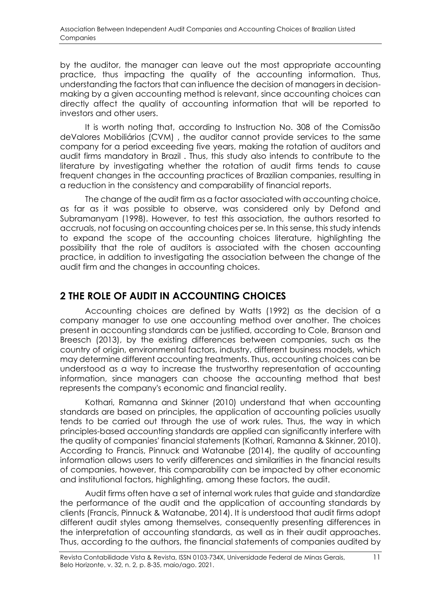by the auditor, the manager can leave out the most appropriate accounting practice, thus impacting the quality of the accounting information. Thus, understanding the factors that can influence the decision of managers in decisionmaking by a given accounting method is relevant, since accounting choices can directly affect the quality of accounting information that will be reported to investors and other users.

It is worth noting that, according to Instruction No. 308 of the Comissão deValores Mobiliários (CVM) , the auditor cannot provide services to the same company for a period exceeding five years, making the rotation of auditors and audit firms mandatory in Brazil . Thus, this study also intends to contribute to the literature by investigating whether the rotation of audit firms tends to cause frequent changes in the accounting practices of Brazilian companies, resulting in a reduction in the consistency and comparability of financial reports.

The change of the audit firm as a factor associated with accounting choice, as far as it was possible to observe, was considered only by Defond and Subramanyam (1998). However, to test this association, the authors resorted to accruals, not focusing on accounting choices per se. In this sense, this study intends to expand the scope of the accounting choices literature, highlighting the possibility that the role of auditors is associated with the chosen accounting practice, in addition to investigating the association between the change of the audit firm and the changes in accounting choices.

### **2 THE ROLE OF AUDIT IN ACCOUNTING CHOICES**

Accounting choices are defined by Watts (1992) as the decision of a company manager to use one accounting method over another. The choices present in accounting standards can be justified, according to Cole, Branson and Breesch (2013), by the existing differences between companies, such as the country of origin, environmental factors, industry, different business models, which may determine different accounting treatments. Thus, accounting choices can be understood as a way to increase the trustworthy representation of accounting information, since managers can choose the accounting method that best represents the company's economic and financial reality.

Kothari, Ramanna and Skinner (2010) understand that when accounting standards are based on principles, the application of accounting policies usually tends to be carried out through the use of work rules. Thus, the way in which principles-based accounting standards are applied can significantly interfere with the quality of companies' financial statements (Kothari, Ramanna & Skinner, 2010). According to Francis, Pinnuck and Watanabe (2014), the quality of accounting information allows users to verify differences and similarities in the financial results of companies, however, this comparability can be impacted by other economic and institutional factors, highlighting, among these factors, the audit.

Audit firms often have a set of internal work rules that guide and standardize the performance of the audit and the application of accounting standards by clients (Francis, Pinnuck & Watanabe, 2014). It is understood that audit firms adopt different audit styles among themselves, consequently presenting differences in the interpretation of accounting standards, as well as in their audit approaches. Thus, according to the authors, the financial statements of companies audited by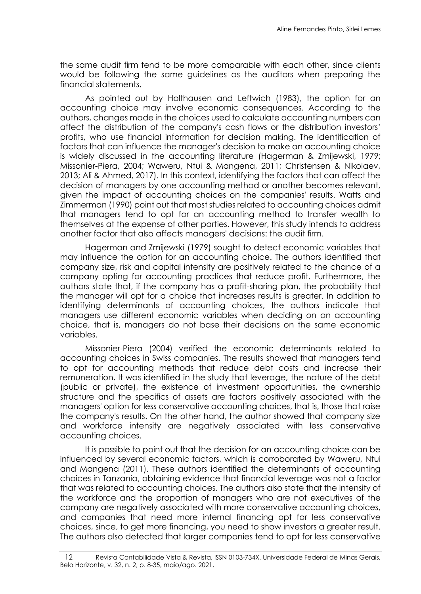the same audit firm tend to be more comparable with each other, since clients would be following the same guidelines as the auditors when preparing the financial statements.

As pointed out by Holthausen and Leftwich (1983), the option for an accounting choice may involve economic consequences. According to the authors, changes made in the choices used to calculate accounting numbers can affect the distribution of the company's cash flows or the distribution investors' profits, who use financial information for decision making. The identification of factors that can influence the manager's decision to make an accounting choice is widely discussed in the accounting literature (Hagerman & Zmijewski, 1979; Missonier-Piera, 2004; Waweru, Ntui & Mangena, 2011; Christensen & Nikolaev, 2013; Ali & Ahmed, 2017). In this context, identifying the factors that can affect the decision of managers by one accounting method or another becomes relevant, given the impact of accounting choices on the companies' results. Watts and Zimmerman (1990) point out that most studies related to accounting choices admit that managers tend to opt for an accounting method to transfer wealth to themselves at the expense of other parties. However, this study intends to address another factor that also affects managers' decisions: the audit firm.

Hagerman and Zmijewski (1979) sought to detect economic variables that may influence the option for an accounting choice. The authors identified that company size, risk and capital intensity are positively related to the chance of a company opting for accounting practices that reduce profit. Furthermore, the authors state that, if the company has a profit-sharing plan, the probability that the manager will opt for a choice that increases results is greater. In addition to identifying determinants of accounting choices, the authors indicate that managers use different economic variables when deciding on an accounting choice, that is, managers do not base their decisions on the same economic variables.

Missonier-Piera (2004) verified the economic determinants related to accounting choices in Swiss companies. The results showed that managers tend to opt for accounting methods that reduce debt costs and increase their remuneration. It was identified in the study that leverage, the nature of the debt (public or private), the existence of investment opportunities, the ownership structure and the specifics of assets are factors positively associated with the managers' option for less conservative accounting choices, that is, those that raise the company's results. On the other hand, the author showed that company size and workforce intensity are negatively associated with less conservative accounting choices.

It is possible to point out that the decision for an accounting choice can be influenced by several economic factors, which is corroborated by Waweru, Ntui and Mangena (2011). These authors identified the determinants of accounting choices in Tanzania, obtaining evidence that financial leverage was not a factor that was related to accounting choices. The authors also state that the intensity of the workforce and the proportion of managers who are not executives of the company are negatively associated with more conservative accounting choices, and companies that need more internal financing opt for less conservative choices, since, to get more financing, you need to show investors a greater result. The authors also detected that larger companies tend to opt for less conservative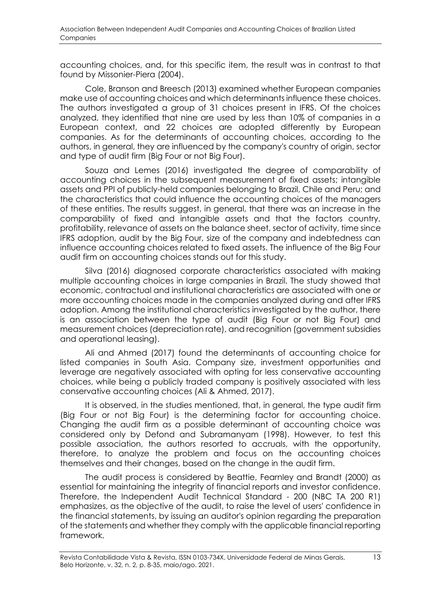accounting choices, and, for this specific item, the result was in contrast to that found by Missonier-Piera (2004).

Cole, Branson and Breesch (2013) examined whether European companies make use of accounting choices and which determinants influence these choices. The authors investigated a group of 31 choices present in IFRS. Of the choices analyzed, they identified that nine are used by less than 10% of companies in a European context, and 22 choices are adopted differently by European companies. As for the determinants of accounting choices, according to the authors, in general, they are influenced by the company's country of origin, sector and type of audit firm (Big Four or not Big Four).

Souza and Lemes (2016) investigated the degree of comparability of accounting choices in the subsequent measurement of fixed assets; intangible assets and PPI of publicly-held companies belonging to Brazil, Chile and Peru; and the characteristics that could influence the accounting choices of the managers of these entities. The results suggest, in general, that there was an increase in the comparability of fixed and intangible assets and that the factors country, profitability, relevance of assets on the balance sheet, sector of activity, time since IFRS adoption, audit by the Big Four, size of the company and indebtedness can influence accounting choices related to fixed assets. The influence of the Big Four audit firm on accounting choices stands out for this study.

Silva (2016) diagnosed corporate characteristics associated with making multiple accounting choices in large companies in Brazil. The study showed that economic, contractual and institutional characteristics are associated with one or more accounting choices made in the companies analyzed during and after IFRS adoption. Among the institutional characteristics investigated by the author, there is an association between the type of audit (Big Four or not Big Four) and measurement choices (depreciation rate), and recognition (government subsidies and operational leasing).

Ali and Ahmed (2017) found the determinants of accounting choice for listed companies in South Asia. Company size, investment opportunities and leverage are negatively associated with opting for less conservative accounting choices, while being a publicly traded company is positively associated with less conservative accounting choices (Ali & Ahmed, 2017).

It is observed, in the studies mentioned, that, in general, the type audit firm (Big Four or not Big Four) is the determining factor for accounting choice. Changing the audit firm as a possible determinant of accounting choice was considered only by Defond and Subramanyam (1998). However, to test this possible association, the authors resorted to accruals, with the opportunity, therefore, to analyze the problem and focus on the accounting choices themselves and their changes, based on the change in the audit firm.

The audit process is considered by Beattie, Fearnley and Brandt (2000) as essential for maintaining the integrity of financial reports and investor confidence. Therefore, the Independent Audit Technical Standard - 200 (NBC TA 200 R1) emphasizes, as the objective of the audit, to raise the level of users' confidence in the financial statements, by issuing an auditor's opinion regarding the preparation of the statements and whether they comply with the applicable financial reporting framework.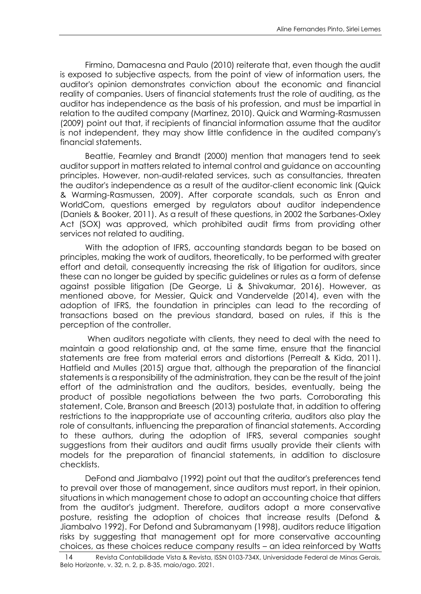Firmino, Damacesna and Paulo (2010) reiterate that, even though the audit is exposed to subjective aspects, from the point of view of information users, the auditor's opinion demonstrates conviction about the economic and financial reality of companies. Users of financial statements trust the role of auditing, as the auditor has independence as the basis of his profession, and must be impartial in relation to the audited company (Martinez, 2010). Quick and Warming-Rasmussen (2009) point out that, if recipients of financial information assume that the auditor is not independent, they may show little confidence in the audited company's financial statements.

Beattie, Fearnley and Brandt (2000) mention that managers tend to seek auditor support in matters related to internal control and guidance on accounting principles. However, non-audit-related services, such as consultancies, threaten the auditor's independence as a result of the auditor-client economic link (Quick & Warming-Rasmussen, 2009). After corporate scandals, such as Enron and WorldCom, questions emerged by regulators about auditor independence (Daniels & Booker, 2011). As a result of these questions, in 2002 the Sarbanes-Oxley Act (SOX) was approved, which prohibited audit firms from providing other services not related to auditing.

With the adoption of IFRS, accounting standards began to be based on principles, making the work of auditors, theoretically, to be performed with greater effort and detail, consequently increasing the risk of litigation for auditors, since these can no longer be guided by specific guidelines or rules as a form of defense against possible litigation (De George, Li & Shivakumar, 2016). However, as mentioned above, for Messier, Quick and Vandervelde (2014), even with the adoption of IFRS, the foundation in principles can lead to the recording of transactions based on the previous standard, based on rules, if this is the perception of the controller.

When auditors negotiate with clients, they need to deal with the need to maintain a good relationship and, at the same time, ensure that the financial statements are free from material errors and distortions (Perrealt & Kida, 2011). Hatfield and Mulles (2015) argue that, although the preparation of the financial statements is a responsibility of the administration, they can be the result of the joint effort of the administration and the auditors, besides, eventually, being the product of possible negotiations between the two parts. Corroborating this statement, Cole, Branson and Breesch (2013) postulate that, in addition to offering restrictions to the inappropriate use of accounting criteria, auditors also play the role of consultants, influencing the preparation of financial statements. According to these authors, during the adoption of IFRS, several companies sought suggestions from their auditors and audit firms usually provide their clients with models for the preparation of financial statements, in addition to disclosure checklists.

DeFond and Jiambalvo (1992) point out that the auditor's preferences tend to prevail over those of management, since auditors must report, in their opinion, situations in which management chose to adopt an accounting choice that differs from the auditor's judgment. Therefore, auditors adopt a more conservative posture, resisting the adoption of choices that increase results (Defond & Jiambalvo 1992). For Defond and Subramanyam (1998), auditors reduce litigation risks by suggesting that management opt for more conservative accounting choices, as these choices reduce company results – an idea reinforced by Watts

<sup>14</sup> Revista Contabilidade Vista & Revista, ISSN 0103-734X, Universidade Federal de Minas Gerais, Belo Horizonte, v. 32, n. 2, p. 8-35, maio/ago. 2021.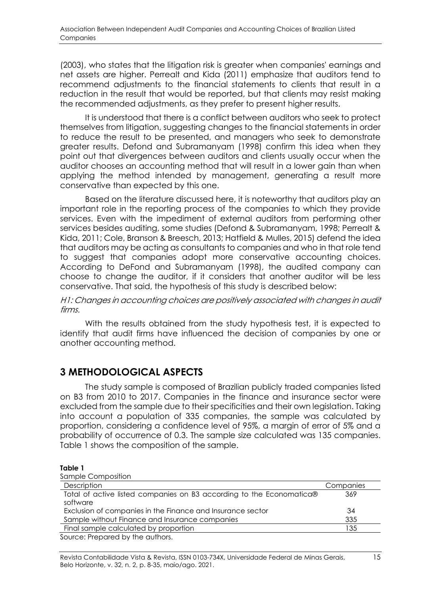(2003), who states that the litigation risk is greater when companies' earnings and net assets are higher. Perrealt and Kida (2011) emphasize that auditors tend to recommend adjustments to the financial statements to clients that result in a reduction in the result that would be reported, but that clients may resist making the recommended adjustments, as they prefer to present higher results.

It is understood that there is a conflict between auditors who seek to protect themselves from litigation, suggesting changes to the financial statements in order to reduce the result to be presented, and managers who seek to demonstrate greater results. Defond and Subramanyam (1998) confirm this idea when they point out that divergences between auditors and clients usually occur when the auditor chooses an accounting method that will result in a lower gain than when applying the method intended by management, generating a result more conservative than expected by this one.

Based on the literature discussed here, it is noteworthy that auditors play an important role in the reporting process of the companies to which they provide services. Even with the impediment of external auditors from performing other services besides auditing, some studies (Defond & Subramanyam, 1998; Perrealt & Kida, 2011; Cole, Branson & Breesch, 2013; Hatfield & Mulles, 2015) defend the idea that auditors may be acting as consultants to companies and who in that role tend to suggest that companies adopt more conservative accounting choices. According to DeFond and Subramanyam (1998), the audited company can choose to change the auditor, if it considers that another auditor will be less conservative. That said, the hypothesis of this study is described below:

H1: Changes in accounting choices are positively associated with changes in audit firms.

With the results obtained from the study hypothesis test, it is expected to identify that audit firms have influenced the decision of companies by one or another accounting method.

### **3 METHODOLOGICAL ASPECTS**

The study sample is composed of Brazilian publicly traded companies listed on B3 from 2010 to 2017. Companies in the finance and insurance sector were excluded from the sample due to their specificities and their own legislation. Taking into account a population of 335 companies, the sample was calculated by proportion, considering a confidence level of 95%, a margin of error of 5% and a probability of occurrence of 0.3. The sample size calculated was 135 companies. Table 1 shows the composition of the sample.

### **Table 1**

| Sample Composition                                                               |           |
|----------------------------------------------------------------------------------|-----------|
| Description                                                                      | Companies |
| Total of active listed companies on B3 according to the Economatica®<br>software | 369       |
| Exclusion of companies in the Finance and Insurance sector                       | 34        |
| Sample without Finance and Insurance companies                                   | 335       |
| Final sample calculated by proportion                                            | 135       |
| Source: Prepared by the authors.                                                 |           |

Revista Contabilidade Vista & Revista, ISSN 0103-734X, Universidade Federal de Minas Gerais, 15 Belo Horizonte, v. 32, n. 2, p. 8-35, maio/ago. 2021.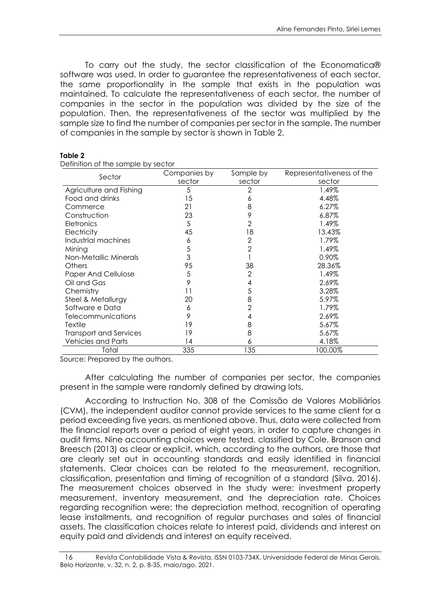To carry out the study, the sector classification of the Economatica® software was used. In order to guarantee the representativeness of each sector, the same proportionality in the sample that exists in the population was maintained. To calculate the representativeness of each sector, the number of companies in the sector in the population was divided by the size of the population. Then, the representativeness of the sector was multiplied by the sample size to find the number of companies per sector in the sample. The number of companies in the sample by sector is shown in Table 2.

| Sector                        | Companies by | Sample by      | Representativeness of the |
|-------------------------------|--------------|----------------|---------------------------|
|                               | sector       | sector         | sector                    |
| Agriculture and Fishing       | 5            | 2              | 1.49%                     |
| Food and drinks               | 15           | 6              | 4.48%                     |
| Commerce                      | 21           | 8              | 6.27%                     |
| Construction                  | 23           | 9              | 6.87%                     |
| Eletronics                    | 5            | 2              | 1.49%                     |
| Electricity                   | 45           | 18             | 13.43%                    |
| Industrial machines           | 6            | $\mathbf{2}$   | 1.79%                     |
| Mining                        | 5            | $\overline{2}$ | 1.49%                     |
| Non-Metallic Minerals         | 3            |                | 0.90%                     |
| <b>Others</b>                 | 95           | 38             | 28.36%                    |
| <b>Paper And Cellulose</b>    | 5            | $\overline{2}$ | 1.49%                     |
| Oil and Gas                   | 9            | 4              | 2.69%                     |
| Chemistry                     |              | 5              | 3.28%                     |
| Steel & Metallurgy            | 20           | 8              | 5.97%                     |
| Software e Data               | 6            | 2              | 1.79%                     |
| <b>Telecommunications</b>     | 9            | 4              | 2.69%                     |
| Textile                       | 19           | 8              | 5.67%                     |
| <b>Transport and Services</b> | 19           | 8              | 5.67%                     |
| <b>Vehicles and Parts</b>     | 14           | 6              | 4.18%                     |
| Total                         | 335          | 135            | 100,00%                   |

Definition of the sample by sector

Source: Prepared by the authors.

After calculating the number of companies per sector, the companies present in the sample were randomly defined by drawing lots.

According to Instruction No. 308 of the Comissão de Valores Mobiliários (CVM), the independent auditor cannot provide services to the same client for a period exceeding five years, as mentioned above. Thus, data were collected from the financial reports over a period of eight years, in order to capture changes in audit firms. Nine accounting choices were tested, classified by Cole, Branson and Breesch (2013) as clear or explicit, which, according to the authors, are those that are clearly set out in accounting standards and easily identified in financial statements. Clear choices can be related to the measurement, recognition, classification, presentation and timing of recognition of a standard (Silva, 2016). The measurement choices observed in the study were: investment property measurement, inventory measurement, and the depreciation rate. Choices regarding recognition were: the depreciation method, recognition of operating lease installments, and recognition of regular purchases and sales of financial assets. The classification choices relate to interest paid, dividends and interest on equity paid and dividends and interest on equity received.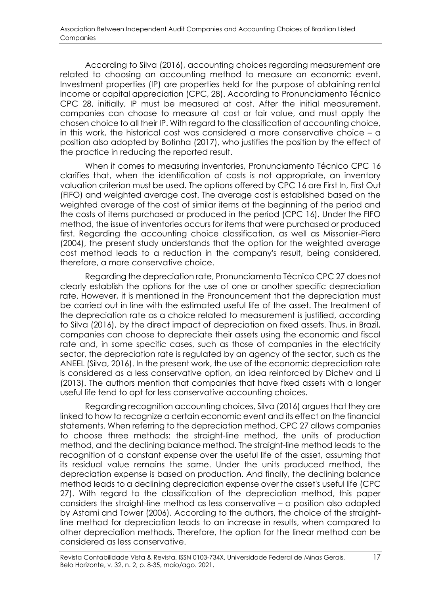According to Silva (2016), accounting choices regarding measurement are related to choosing an accounting method to measure an economic event. Investment properties (IP) are properties held for the purpose of obtaining rental income or capital appreciation (CPC, 28). According to Pronunciamento Técnico CPC 28, initially, IP must be measured at cost. After the initial measurement, companies can choose to measure at cost or fair value, and must apply the chosen choice to all their IP. With regard to the classification of accounting choice, in this work, the historical cost was considered a more conservative choice – a position also adopted by Botinha (2017), who justifies the position by the effect of the practice in reducing the reported result.

When it comes to measuring inventories, Pronunciamento Técnico CPC 16 clarifies that, when the identification of costs is not appropriate, an inventory valuation criterion must be used. The options offered by CPC 16 are First In, First Out (FIFO) and weighted average cost. The average cost is established based on the weighted average of the cost of similar items at the beginning of the period and the costs of items purchased or produced in the period (CPC 16). Under the FIFO method, the issue of inventories occurs for items that were purchased or produced first. Regarding the accounting choice classification, as well as Missonier-Piera (2004), the present study understands that the option for the weighted average cost method leads to a reduction in the company's result, being considered, therefore, a more conservative choice.

Regarding the depreciation rate, Pronunciamento Técnico CPC 27 does not clearly establish the options for the use of one or another specific depreciation rate. However, it is mentioned in the Pronouncement that the depreciation must be carried out in line with the estimated useful life of the asset. The treatment of the depreciation rate as a choice related to measurement is justified, according to Silva (2016), by the direct impact of depreciation on fixed assets. Thus, in Brazil, companies can choose to depreciate their assets using the economic and fiscal rate and, in some specific cases, such as those of companies in the electricity sector, the depreciation rate is regulated by an agency of the sector, such as the ANEEL (Silva, 2016). In the present work, the use of the economic depreciation rate is considered as a less conservative option, an idea reinforced by Dichev and Li (2013). The authors mention that companies that have fixed assets with a longer useful life tend to opt for less conservative accounting choices.

Regarding recognition accounting choices, Silva (2016) argues that they are linked to how to recognize a certain economic event and its effect on the financial statements. When referring to the depreciation method, CPC 27 allows companies to choose three methods: the straight-line method, the units of production method, and the declining balance method. The straight-line method leads to the recognition of a constant expense over the useful life of the asset, assuming that its residual value remains the same. Under the units produced method, the depreciation expense is based on production. And finally, the declining balance method leads to a declining depreciation expense over the asset's useful life (CPC 27). With regard to the classification of the depreciation method, this paper considers the straight-line method as less conservative – a position also adopted by Astami and Tower (2006). According to the authors, the choice of the straightline method for depreciation leads to an increase in results, when compared to other depreciation methods. Therefore, the option for the linear method can be considered as less conservative.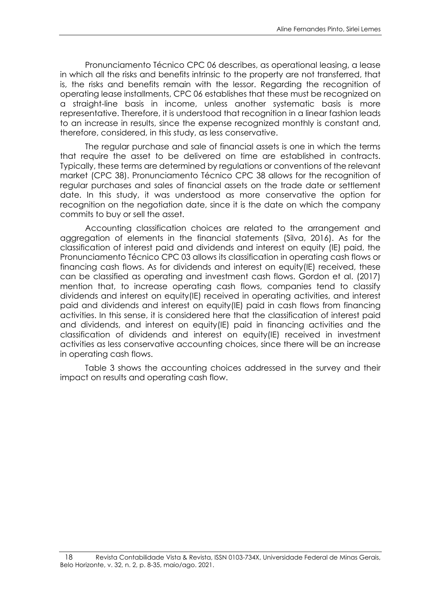Pronunciamento Técnico CPC 06 describes, as operational leasing, a lease in which all the risks and benefits intrinsic to the property are not transferred, that is, the risks and benefits remain with the lessor. Regarding the recognition of operating lease installments, CPC 06 establishes that these must be recognized on a straight-line basis in income, unless another systematic basis is more representative. Therefore, it is understood that recognition in a linear fashion leads to an increase in results, since the expense recognized monthly is constant and, therefore, considered, in this study, as less conservative.

The regular purchase and sale of financial assets is one in which the terms that require the asset to be delivered on time are established in contracts. Typically, these terms are determined by regulations or conventions of the relevant market (CPC 38). Pronunciamento Técnico CPC 38 allows for the recognition of regular purchases and sales of financial assets on the trade date or settlement date. In this study, it was understood as more conservative the option for recognition on the negotiation date, since it is the date on which the company commits to buy or sell the asset.

Accounting classification choices are related to the arrangement and aggregation of elements in the financial statements (Silva, 2016). As for the classification of interest paid and dividends and interest on equity (IE) paid, the Pronunciamento Técnico CPC 03 allows its classification in operating cash flows or financing cash flows. As for dividends and interest on equity(IE) received, these can be classified as operating and investment cash flows. Gordon et al. (2017) mention that, to increase operating cash flows, companies tend to classify dividends and interest on equity(IE) received in operating activities, and interest paid and dividends and interest on equity(IE) paid in cash flows from financing activities. In this sense, it is considered here that the classification of interest paid and dividends, and interest on equity(IE) paid in financing activities and the classification of dividends and interest on equity(IE) received in investment activities as less conservative accounting choices, since there will be an increase in operating cash flows.

Table 3 shows the accounting choices addressed in the survey and their impact on results and operating cash flow.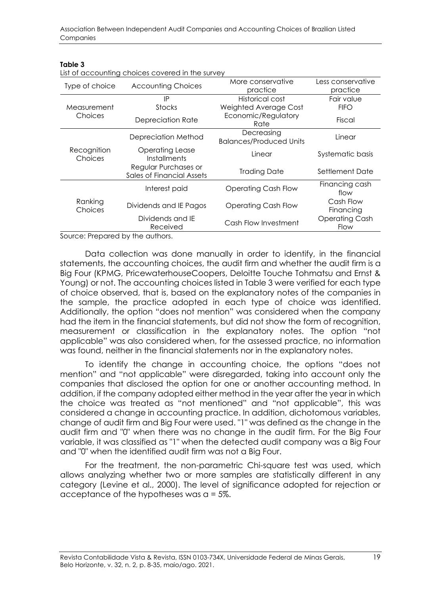|                                 | LIST OF ACCOUTING CHOICES COVERED IN THE SURVEY          |                                              |                               |
|---------------------------------|----------------------------------------------------------|----------------------------------------------|-------------------------------|
| Type of choice                  | <b>Accounting Choices</b>                                | More conservative                            | Less conservative             |
|                                 |                                                          | practice                                     | practice                      |
|                                 | IP                                                       | Historical cost                              | Fair value                    |
| Measurement                     | <b>Stocks</b>                                            | Weighted Average Cost                        | <b>FIFO</b>                   |
| Choices                         | Depreciation Rate                                        | Economic/Regulatory<br>Rate                  | Fiscal                        |
|                                 | Depreciation Method                                      | Decreasing<br><b>Balances/Produced Units</b> | Linear                        |
| Recognition<br>Choices          | <b>Operating Lease</b><br><b>Installments</b>            | Linear                                       | Systematic basis              |
|                                 | Regular Purchases or<br><b>Sales of Financial Assets</b> | <b>Trading Date</b>                          | Settlement Date               |
|                                 | Interest paid                                            | <b>Operating Cash Flow</b>                   | Financing cash<br>flow        |
| Ranking<br>Choices              | Dividends and IE Pagos                                   | <b>Operating Cash Flow</b>                   | Cash Flow<br>Financing        |
|                                 | Dividends and IE<br>Received                             | Cash Flow Investment                         | <b>Operating Cash</b><br>Flow |
| Course: Draperselleuthe euthers |                                                          |                                              |                               |

#### **Table 3**

List of accounting choices covered in the survey

Source: Prepared by the authors.

Data collection was done manually in order to identify, in the financial statements, the accounting choices, the audit firm and whether the audit firm is a Big Four (KPMG, PricewaterhouseCoopers, Deloitte Touche Tohmatsu and Ernst & Young) or not. The accounting choices listed in Table 3 were verified for each type of choice observed, that is, based on the explanatory notes of the companies in the sample, the practice adopted in each type of choice was identified. Additionally, the option "does not mention" was considered when the company had the item in the financial statements, but did not show the form of recognition, measurement or classification in the explanatory notes. The option "not applicable" was also considered when, for the assessed practice, no information was found, neither in the financial statements nor in the explanatory notes.

To identify the change in accounting choice, the options "does not mention" and "not applicable" were disregarded, taking into account only the companies that disclosed the option for one or another accounting method. In addition, if the company adopted either method in the year after the year in which the choice was treated as "not mentioned" and "not applicable", this was considered a change in accounting practice. In addition, dichotomous variables, change of audit firm and Big Four were used. "1" was defined as the change in the audit firm and "0" when there was no change in the audit firm. For the Big Four variable, it was classified as "1" when the detected audit company was a Big Four and "0" when the identified audit firm was not a Big Four.

For the treatment, the non-parametric Chi-square test was used, which allows analyzing whether two or more samples are statistically different in any category (Levine et al., 2000). The level of significance adopted for rejection or acceptance of the hypotheses was α = 5%.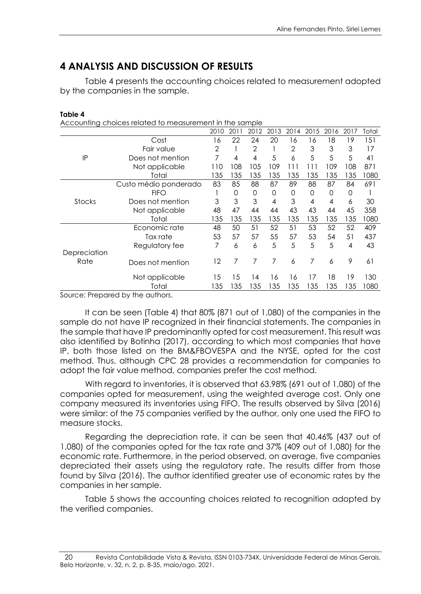# **4 ANALYSIS AND DISCUSSION OF RESULTS**

Table 4 presents the accounting choices related to measurement adopted by the companies in the sample.

| .,<br>ъ. |
|----------|
|----------|

Accounting choices related to measurement in the sample

|              |                                              | 2010         | 2011 | 2012           | 2013 | 2014 | 2015 | 2016 | 2017 | Total |
|--------------|----------------------------------------------|--------------|------|----------------|------|------|------|------|------|-------|
|              | Cost                                         | 16           | 22   | 24             | 20   | 16   | 16   | 18   | 19   | 151   |
|              | Fair value                                   | $\mathbf{2}$ |      | $\overline{2}$ |      | 2    | 3    | 3    | 3    | 17    |
| IP           | Does not mention                             | 7            | 4    | 4              | 5    | 6    | 5    | 5    | 5    | 41    |
|              | Not applicable                               | 110          | 108  | 105            | 109  | 111  | 111  | 109  | 108  | 871   |
|              | Total                                        | 135          | 135  | 135            | 135  | 135  | 135  | 135  | 135  | 1080  |
|              | Custo médio ponderado                        | 83           | 85   | 88             | 87   | 89   | 88   | 87   | 84   | 691   |
|              | <b>FIFO</b>                                  |              | 0    | $\Omega$       | 0    | 0    | 0    | 0    | 0    |       |
| Stocks       | Does not mention                             | 3            | 3    | 3              | 4    | 3    | 4    | 4    | 6    | 30    |
|              | Not applicable                               | 48           | 47   | 44             | 44   | 43   | 43   | 44   | 45   | 358   |
|              | Total                                        | 135          | 135  | 135            | 135  | 135  | 135  | 135  | 135  | 1080  |
|              | Economic rate                                | 48           | 50   | 51             | 52   | 51   | 53   | 52   | 52   | 409   |
|              | Tax rate                                     | 53           | 57   | 57             | 55   | 57   | 53   | 54   | 51   | 437   |
|              | Regulatory fee                               | 7            | 6    | 6              | 5    | 5    | 5    | 5    | 4    | 43    |
| Depreciation |                                              |              |      |                |      |      |      |      |      |       |
| Rate         | Does not mention                             | 12           | 7    | 7              | 7    | 6    | 7    | 6    | 9    | 61    |
|              | Not applicable                               | 15           | 15   | 14             | 16   | 16   | 17   | 18   | 19   | 130   |
|              | Total                                        | 135          | 135  | 135            | 135  | 135  | 135  | 135  | 135  | 1080  |
|              | Carriera e Duais ana al la cidade de de anal |              |      |                |      |      |      |      |      |       |

Source: Prepared by the authors.

It can be seen (Table 4) that 80% (871 out of 1,080) of the companies in the sample do not have IP recognized in their financial statements. The companies in the sample that have IP predominantly opted for cost measurement. This result was also identified by Botinha (2017), according to which most companies that have IP, both those listed on the BM&FBOVESPA and the NYSE, opted for the cost method. Thus, although CPC 28 provides a recommendation for companies to adopt the fair value method, companies prefer the cost method.

With regard to inventories, it is observed that 63.98% (691 out of 1,080) of the companies opted for measurement, using the weighted average cost. Only one company measured its inventories using FIFO. The results observed by Silva (2016) were similar: of the 75 companies verified by the author, only one used the FIFO to measure stocks.

Regarding the depreciation rate, it can be seen that 40.46% (437 out of 1,080) of the companies opted for the tax rate and 37% (409 out of 1,080) for the economic rate. Furthermore, in the period observed, on average, five companies depreciated their assets using the regulatory rate. The results differ from those found by Silva (2016). The author identified greater use of economic rates by the companies in her sample.

Table 5 shows the accounting choices related to recognition adopted by the verified companies.

<sup>20</sup> Revista Contabilidade Vista & Revista, ISSN 0103-734X, Universidade Federal de Minas Gerais, Belo Horizonte, v. 32, n. 2, p. 8-35, maio/ago. 2021.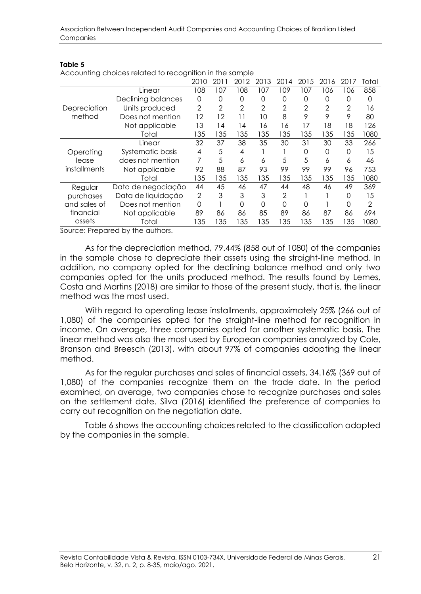| . .<br>۰.<br>۰.<br>٠<br>×<br>w<br>× |  |
|-------------------------------------|--|
|-------------------------------------|--|

Accounting choices related to recognition in the sample

| Accounting choices related to recognition in the sample |                           |                |                |                |                |      |      |                |      |       |
|---------------------------------------------------------|---------------------------|----------------|----------------|----------------|----------------|------|------|----------------|------|-------|
|                                                         |                           | 2010           | 2011           | 2012           | 2013           | 2014 | 2015 | 2016           | 2017 | Total |
|                                                         | Linear                    | 108            | 107            | 108            | 107            | 109  | 107  | 106            | 106  | 858   |
|                                                         | <b>Declining balances</b> | 0              | 0              | 0              | 0              | 0    | 0    | 0              | 0    | 0     |
| Depreciation                                            | Units produced            | $\overline{2}$ | $\overline{2}$ | $\overline{2}$ | $\overline{2}$ | 2    | 2    | $\overline{2}$ | 2    | 16    |
| method                                                  | Does not mention          | 12             | 12             | 11             | 10             | 8    | 9    | 9              | 9    | 80    |
|                                                         | Not applicable            | 13             | 14             | 14             | 16             | 16   | 17   | 18             | 18   | 126   |
|                                                         | Total                     | 135            | 135            | 35             | 35             | 135  | 135  | 135            | 135  | 1080  |
|                                                         | Linear                    | 32             | 37             | 38             | 35             | 30   | 31   | 30             | 33   | 266   |
| Operating                                               | Systematic basis          | 4              | 5              | 4              |                |      | 0    | 0              | 0    | 15    |
| lease                                                   | does not mention          |                | 5              | 6              | 6              | 5    | 5    | 6              | 6    | 46    |
| installments                                            | Not applicable            | 92             | 88             | 87             | 93             | 99   | 99   | 99             | 96   | 753   |
|                                                         | Total                     | 135            | 135            | 135            | 135            | 135  | 135  | 135            | 135  | 1080  |
| Regular                                                 | Data de negociação        | 44             | 45             | 46             | 47             | 44   | 48   | 46             | 49   | 369   |
| purchases                                               | Data de liquidação        | $\overline{2}$ | 3              | 3              | 3              | 2    |      |                | 0    | 15    |
| and sales of                                            | Does not mention          | 0              |                | 0              | $\Omega$       | 0    | ∩    |                | 0    | 2     |
| financial                                               | Not applicable            | 89             | 86             | 86             | 85             | 89   | 86   | 87             | 86   | 694   |
| assets                                                  | Total                     | 135            | 135            | 135            | 135            | 135  | 135  | 135            | 135  | 1080  |
|                                                         | $\cdot$ $\cdot$           |                |                |                |                |      |      |                |      |       |

Source: Prepared by the authors.

As for the depreciation method, 79.44% (858 out of 1080) of the companies in the sample chose to depreciate their assets using the straight-line method. In addition, no company opted for the declining balance method and only two companies opted for the units produced method. The results found by Lemes, Costa and Martins (2018) are similar to those of the present study, that is, the linear method was the most used.

With regard to operating lease installments, approximately 25% (266 out of 1,080) of the companies opted for the straight-line method for recognition in income. On average, three companies opted for another systematic basis. The linear method was also the most used by European companies analyzed by Cole, Branson and Breesch (2013), with about 97% of companies adopting the linear method.

As for the regular purchases and sales of financial assets, 34.16% (369 out of 1,080) of the companies recognize them on the trade date. In the period examined, on average, two companies chose to recognize purchases and sales on the settlement date. Silva (2016) identified the preference of companies to carry out recognition on the negotiation date.

Table 6 shows the accounting choices related to the classification adopted by the companies in the sample.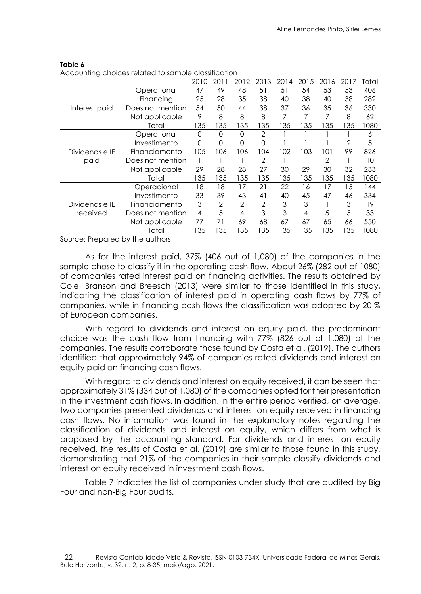| Accounting choices related to sample classification |                  |      |                |                |                |      |      |                |      |       |
|-----------------------------------------------------|------------------|------|----------------|----------------|----------------|------|------|----------------|------|-------|
|                                                     |                  | 2010 | 2011           | 2012           | 2013           | 2014 | 2015 | 2016           | 2017 | Total |
|                                                     | Operational      | 47   | 49             | 48             | 51             | 51   | 54   | 53             | 53   | 406   |
| Interest paid                                       | Financing        | 25   | 28             | 35             | 38             | 40   | 38   | 40             | 38   | 282   |
|                                                     | Does not mention | 54   | 50             | 44             | 38             | 37   | 36   | 35             | 36   | 330   |
|                                                     | Not applicable   | 9    | 8              | 8              | 8              | 7    | 7    | 7              | 8    | 62    |
|                                                     | Total            | 135  | 135            | 135            | 135            | 135  | 135  | 135            | 135  | 1080  |
|                                                     | Operational      | 0    | 0              | 0              | $\overline{2}$ |      |      |                |      | 6     |
|                                                     | Investimento     | 0    | 0              | 0              | $\Omega$       |      |      |                | 2    | 5     |
| Dividends e IE<br>paid                              | Financiamento    | 105  | 106            | 106            | 104            | 102  | 103  | 101            | 99   | 826   |
|                                                     | Does not mention |      |                |                | $\overline{2}$ |      |      | $\overline{2}$ |      | 10    |
|                                                     | Not applicable   | 29   | 28             | 28             | 27             | 30   | 29   | 30             | 32   | 233   |
|                                                     | Total            | 135  | 135            | 135            | 135            | 135  | 135  | 135            | 135  | 1080  |
|                                                     | Operacional      | 18   | 18             | 17             | 21             | 22   | 16   | 17             | 15   | 144   |
|                                                     | Investimento     | 33   | 39             | 43             | 41             | 40   | 45   | 47             | 46   | 334   |
| Dividends e IE                                      | Financiamento    | 3    | $\overline{2}$ | $\overline{2}$ | $\overline{2}$ | 3    | 3    |                | 3    | 19    |
| received                                            | Does not mention | 4    | 5              | 4              | 3              | 3    | 4    | 5              | 5    | 33    |
|                                                     | Not applicable   | 77   | 71             | 69             | 68             | 67   | 67   | 65             | 66   | 550   |
|                                                     | Total            | 135  | 135            | 135            | 135            | 135  | 135  | 135            | 135  | 1080  |

#### **Table 6**

Accounting choices related to sample classification

Source: Prepared by the authors

As for the interest paid, 37% (406 out of 1,080) of the companies in the sample chose to classify it in the operating cash flow. About 26% (282 out of 1080) of companies rated interest paid on financing activities. The results obtained by Cole, Branson and Breesch (2013) were similar to those identified in this study, indicating the classification of interest paid in operating cash flows by 77% of companies, while in financing cash flows the classification was adopted by 20 % of European companies.

With regard to dividends and interest on equity paid, the predominant choice was the cash flow from financing with 77% (826 out of 1,080) of the companies. The results corroborate those found by Costa et al. (2019). The authors identified that approximately 94% of companies rated dividends and interest on equity paid on financing cash flows.

With regard to dividends and interest on equity received, it can be seen that approximately 31% (334 out of 1,080) of the companies opted for their presentation in the investment cash flows. In addition, in the entire period verified, on average, two companies presented dividends and interest on equity received in financing cash flows. No information was found in the explanatory notes regarding the classification of dividends and interest on equity, which differs from what is proposed by the accounting standard. For dividends and interest on equity received, the results of Costa et al. (2019) are similar to those found in this study, demonstrating that 21% of the companies in their sample classify dividends and interest on equity received in investment cash flows.

Table 7 indicates the list of companies under study that are audited by Big Four and non-Big Four audits.

<sup>22</sup> Revista Contabilidade Vista & Revista, ISSN 0103-734X, Universidade Federal de Minas Gerais, Belo Horizonte, v. 32, n. 2, p. 8-35, maio/ago. 2021.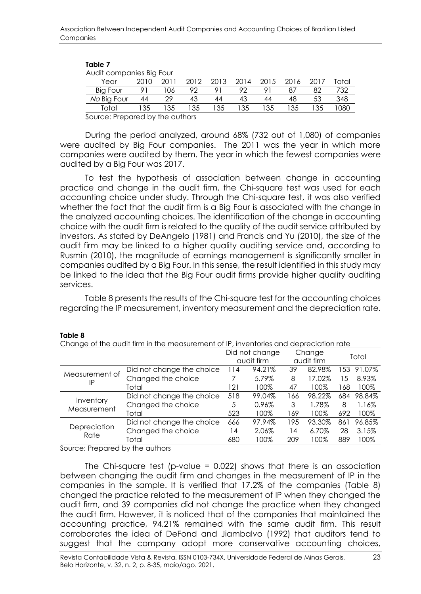| Audit companies Big Four |      |      |      |      |      |      |      |    |       |
|--------------------------|------|------|------|------|------|------|------|----|-------|
| Year                     | 2010 | 2011 | 2012 | 2013 | 2014 | 2015 | 2016 |    | 'otal |
| Big Four                 |      | 06   | 92   |      | 92   |      |      | 82 | 732   |
| No Big Four              | 44   | 29   | 43   | 44   | 43   | 44   | 48   | 53 | 348   |
| "otal                    | 135  | 35   | 35   | 35   | 35   | 35   | -35  |    | 080   |
|                          |      |      |      |      |      |      |      |    |       |

### **Table 7**

Source: Prepared by the authors

During the period analyzed, around 68% (732 out of 1,080) of companies were audited by Big Four companies. The 2011 was the year in which more companies were audited by them. The year in which the fewest companies were audited by a Big Four was 2017.

To test the hypothesis of association between change in accounting practice and change in the audit firm, the Chi-square test was used for each accounting choice under study. Through the Chi-square test, it was also verified whether the fact that the audit firm is a Big Four is associated with the change in the analyzed accounting choices. The identification of the change in accounting choice with the audit firm is related to the quality of the audit service attributed by investors. As stated by DeAngelo (1981) and Francis and Yu (2010), the size of the audit firm may be linked to a higher quality auditing service and, according to Rusmin (2010), the magnitude of earnings management is significantly smaller in companies audited by a Big Four. In this sense, the result identified in this study may be linked to the idea that the Big Four audit firms provide higher quality auditing services.

Table 8 presents the results of the Chi-square test for the accounting choices regarding the IP measurement, inventory measurement and the depreciation rate.

| Change of the abalt film in the measurement of it , inventuries and depreciation rate |                           |     |                |     |            |     |            |
|---------------------------------------------------------------------------------------|---------------------------|-----|----------------|-----|------------|-----|------------|
|                                                                                       |                           |     | Did not change |     | Change     |     | Total      |
|                                                                                       |                           |     | audit firm     |     | audit firm |     |            |
| Measurement of                                                                        | Did not change the choice | 114 | 94.21%         | 39  | 82.98%     |     | 153 91.07% |
|                                                                                       | Changed the choice        |     | 5.79%          | 8   | 17.02%     | 15  | 8.93%      |
| IP                                                                                    | Total                     | 121 | 100%           | 47  | 100%       | 168 | 100%       |
|                                                                                       | Did not change the choice | 518 | 99.04%         | 166 | 98.22%     | 684 | 98.84%     |
| Inventory<br>Measurement                                                              | Changed the choice        | 5   | 0.96%          | 3   | 1.78%      | 8   | 1.16%      |
|                                                                                       | Total                     | 523 | 100%           | 169 | 100%       | 692 | 100%       |
|                                                                                       | Did not change the choice | 666 | 97.94%         | 195 | 93.30%     | 861 | 96.85%     |
| Depreciation<br>Rate                                                                  | Changed the choice        | 14  | 2.06%          | 14  | 6.70%      | 28  | 3.15%      |
|                                                                                       | Total                     | 680 | 100%           | 209 | 100%       | 889 | 100%       |
|                                                                                       |                           |     |                |     |            |     |            |

#### **Table 8**

 $\alpha$  of the qualit firm in the measurement of IP, inventories and depreciation rate

Source: Prepared by the authors

The Chi-square test (p-value =  $0.022$ ) shows that there is an association between changing the audit firm and changes in the measurement of IP in the companies in the sample. It is verified that 17.2% of the companies (Table 8) changed the practice related to the measurement of IP when they changed the audit firm, and 39 companies did not change the practice when they changed the audit firm. However, it is noticed that of the companies that maintained the accounting practice, 94.21% remained with the same audit firm. This result corroborates the idea of DeFond and Jiambalvo (1992) that auditors tend to suggest that the company adopt more conservative accounting choices,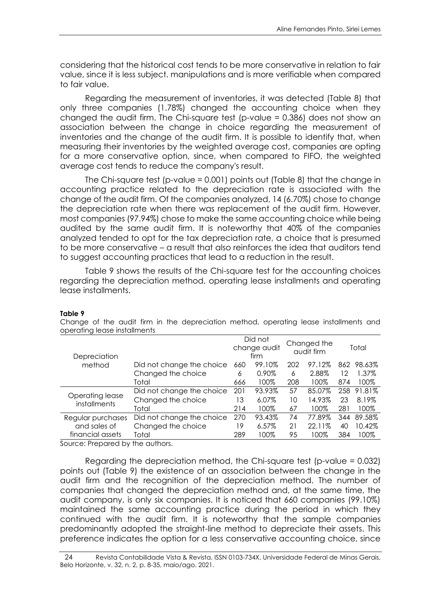considering that the historical cost tends to be more conservative in relation to fair value, since it is less subject. manipulations and is more verifiable when compared to fair value.

Regarding the measurement of inventories, it was detected (Table 8) that only three companies (1.78%) changed the accounting choice when they changed the audit firm. The Chi-square test (p-value = 0.386) does not show an association between the change in choice regarding the measurement of inventories and the change of the audit firm. It is possible to identify that, when measuring their inventories by the weighted average cost, companies are opting for a more conservative option, since, when compared to FIFO, the weighted average cost tends to reduce the company's result.

The Chi-square test (p-value = 0.001) points out (Table 8) that the change in accounting practice related to the depreciation rate is associated with the change of the audit firm. Of the companies analyzed, 14 (6.70%) chose to change the depreciation rate when there was replacement of the audit firm. However, most companies (97.94%) chose to make the same accounting choice while being audited by the same audit firm. It is noteworthy that 40% of the companies analyzed tended to opt for the tax depreciation rate, a choice that is presumed to be more conservative – a result that also reinforces the idea that auditors tend to suggest accounting practices that lead to a reduction in the result.

Table 9 shows the results of the Chi-square test for the accounting choices regarding the depreciation method, operating lease installments and operating lease installments.

| Depreciation                           |                           | Did not<br>change audit<br>firm |        | Changed the<br>audit firm |        | Total |            |
|----------------------------------------|---------------------------|---------------------------------|--------|---------------------------|--------|-------|------------|
| method                                 | Did not change the choice | 660                             | 99.10% | 202                       | 97.12% |       | 862 98.63% |
|                                        | Changed the choice        | 6                               | 0.90%  | 6                         | 2.88%  | 12    | 1.37%      |
|                                        | Total                     | 666                             | 100%   | 208                       | 100%   | 874   | 100%       |
|                                        | Did not change the choice | 201                             | 93.93% | 57                        | 85.07% | 258   | 91.81%     |
| Operating lease<br><i>installments</i> | Changed the choice        | 13                              | 6.07%  | 10                        | 14.93% | 23    | 8.19%      |
|                                        | Total                     | 214                             | 100%   | 67                        | 100%   | 281   | 100%       |
| Regular purchases                      | Did not change the choice | 270                             | 93.43% | 74                        | 77.89% | 344   | 89.58%     |
| and sales of                           | Changed the choice        | 19                              | 6.57%  | 21                        | 22.11% | 40    | 10.42%     |
| financial assets                       | Total                     | 289                             | 100%   | 95                        | 100%   | 384   | 100%       |
| Source: Prenared by the authors        |                           |                                 |        |                           |        |       |            |

#### **Table 9**

Change of the audit firm in the depreciation method, operating lease installments and operating lease installments

Source: Prepared by the authors.

Regarding the depreciation method, the Chi-square test (p-value = 0.032) points out (Table 9) the existence of an association between the change in the audit firm and the recognition of the depreciation method. The number of companies that changed the depreciation method and, at the same time, the audit company, is only six companies. It is noticed that 660 companies (99.10%) maintained the same accounting practice during the period in which they continued with the audit firm. It is noteworthy that the sample companies predominantly adopted the straight-line method to depreciate their assets. This preference indicates the option for a less conservative accounting choice, since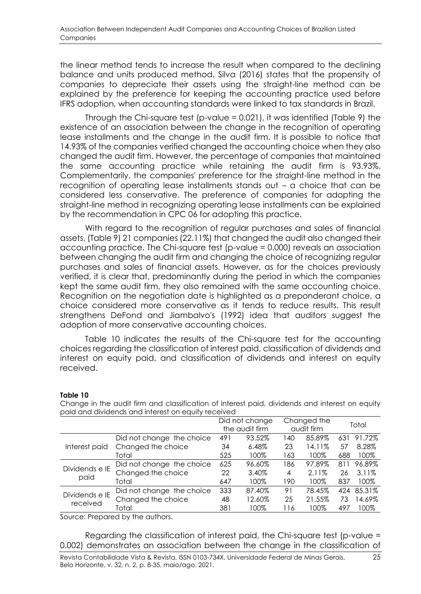the linear method tends to increase the result when compared to the declining balance and units produced method. Silva (2016) states that the propensity of companies to depreciate their assets using the straight-line method can be explained by the preference for keeping the accounting practice used before IFRS adoption, when accounting standards were linked to tax standards in Brazil.

Through the Chi-square test (p-value = 0.021), it was identified (Table 9) the existence of an association between the change in the recognition of operating lease installments and the change in the audit firm. It is possible to notice that 14.93% of the companies verified changed the accounting choice when they also changed the audit firm. However, the percentage of companies that maintained the same accounting practice while retaining the audit firm is 93.93%. Complementarily, the companies' preference for the straight-line method in the recognition of operating lease installments stands out – a choice that can be considered less conservative. The preference of companies for adopting the straight-line method in recognizing operating lease installments can be explained by the recommendation in CPC 06 for adopting this practice.

With regard to the recognition of regular purchases and sales of financial assets, (Table 9) 21 companies (22.11%) that changed the audit also changed their accounting practice. The Chi-square test (p-value = 0.000) reveals an association between changing the audit firm and changing the choice of recognizing regular purchases and sales of financial assets. However, as for the choices previously verified, it is clear that, predominantly during the period in which the companies kept the same audit firm, they also remained with the same accounting choice. Recognition on the negotiation date is highlighted as a preponderant choice, a choice considered more conservative as it tends to reduce results. This result strengthens DeFond and Jiambalvo's (1992) idea that auditors suggest the adoption of more conservative accounting choices.

Table 10 indicates the results of the Chi-square test for the accounting choices regarding the classification of interest paid, classification of dividends and interest on equity paid, and classification of dividends and interest on equity received.

#### Did not change the audit firm Changed the nangca me<br>audit firm Total Interest paid Did not change the choice 491 93.52% 140 85.89% 631 91.72% Changed the choice 34 6.48% 23 14.11% 57 8.28% Total 525 100% 163 100% 688 100% Dividends e IE paid Did not change the choice 625 96.60% 186 97.89% 811 96.89% Changed the choice 22 3.40% 4 2.11% 26 3.11% Total 647 100% 190 100% 837 100% Dividends e IE received Did not change the choice 333 87.40% 91 78.45% 424 85.31% Changed the choice 48 12.60% 25 21.55% 73 14.69% Total 381 100% 116 100% 497 100%

### **Table 10**

Change in the audit firm and classification of interest paid, dividends and interest on equity paid and dividends and interest on equity received

Source: Prepared by the authors.

Regarding the classification of interest paid, the Chi-square test (p-value = 0.002) demonstrates an association between the change in the classification of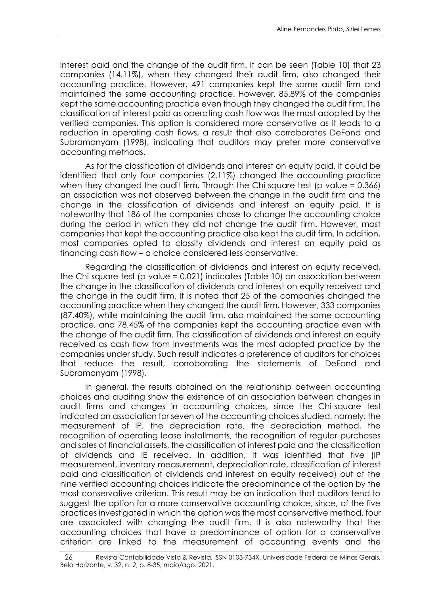interest paid and the change of the audit firm. It can be seen (Table 10) that 23 companies (14.11%), when they changed their audit firm, also changed their accounting practice. However, 491 companies kept the same audit firm and maintained the same accounting practice. However, 85.89% of the companies kept the same accounting practice even though they changed the audit firm. The classification of interest paid as operating cash flow was the most adopted by the verified companies. This option is considered more conservative as it leads to a reduction in operating cash flows, a result that also corroborates DeFond and Subramanyam (1998), indicating that auditors may prefer more conservative accounting methods.

As for the classification of dividends and interest on equity paid, it could be identified that only four companies (2.11%) changed the accounting practice when they changed the audit firm. Through the Chi-square test (p-value = 0.366) an association was not observed between the change in the audit firm and the change in the classification of dividends and interest on equity paid. It is noteworthy that 186 of the companies chose to change the accounting choice during the period in which they did not change the audit firm. However, most companies that kept the accounting practice also kept the audit firm. In addition, most companies opted to classify dividends and interest on equity paid as financing cash flow – a choice considered less conservative.

Regarding the classification of dividends and interest on equity received, the Chi-square test (p-value = 0.021) indicates (Table 10) an association between the change in the classification of dividends and interest on equity received and the change in the audit firm. It is noted that 25 of the companies changed the accounting practice when they changed the audit firm. However, 333 companies (87.40%), while maintaining the audit firm, also maintained the same accounting practice, and 78.45% of the companies kept the accounting practice even with the change of the audit firm. The classification of dividends and interest on equity received as cash flow from investments was the most adopted practice by the companies under study. Such result indicates a preference of auditors for choices that reduce the result, corroborating the statements of DeFond and Subramanyam (1998).

In general, the results obtained on the relationship between accounting choices and auditing show the existence of an association between changes in audit firms and changes in accounting choices, since the Chi-square test indicated an association for seven of the accounting choices studied, namely: the measurement of IP, the depreciation rate, the depreciation method, the recognition of operating lease installments, the recognition of regular purchases and sales of financial assets, the classification of interest paid and the classification of dividends and IE received. In addition, it was identified that five (IP measurement, inventory measurement, depreciation rate, classification of interest paid and classification of dividends and interest on equity received) out of the nine verified accounting choices indicate the predominance of the option by the most conservative criterion. This result may be an indication that auditors tend to suggest the option for a more conservative accounting choice, since, of the five practices investigated in which the option was the most conservative method, four are associated with changing the audit firm. It is also noteworthy that the accounting choices that have a predominance of option for a conservative criterion are linked to the measurement of accounting events and the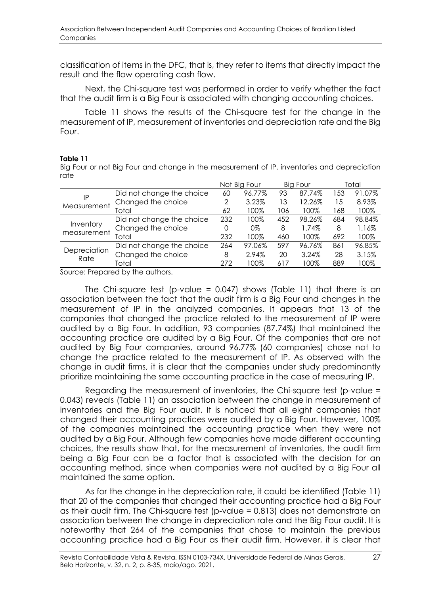classification of items in the DFC, that is, they refer to items that directly impact the result and the flow operating cash flow.

Next, the Chi-square test was performed in order to verify whether the fact that the audit firm is a Big Four is associated with changing accounting choices.

Table 11 shows the results of the Chi-square test for the change in the measurement of IP, measurement of inventories and depreciation rate and the Big Four.

### **Table 11**

Big Four or not Big Four and change in the measurement of IP, inventories and depreciation rate

|                          |                           | Not Big Four |        | <b>Big Four</b> |        | Total |        |
|--------------------------|---------------------------|--------------|--------|-----------------|--------|-------|--------|
| ΙP<br>Measurement        | Did not change the choice | 60           | 96.77% | 93              | 87.74% | 153   | 91.07% |
|                          | Changed the choice        | 2            | 3.23%  | 13              | 12.26% | -5    | 8.93%  |
|                          | Total                     | 62           | 100%   | 106             | 100%   | 168   | 100%   |
| Inventory<br>measurement | Did not change the choice | 232          | 100%   | 452             | 98.26% | 684   | 98.84% |
|                          | Changed the choice        |              | 0%     | 8               | 1.74%  | 8     | 1.16%  |
|                          | Total                     | 232          | 100%   | 460             | 100%   | 692   | 100%   |
| Depreciation<br>Rate     | Did not change the choice | 264          | 97.06% | 597             | 96.76% | 861   | 96.85% |
|                          | Changed the choice        | 8            | 2.94%  | 20              | 3.24%  | 28    | 3.15%  |
|                          | Total                     | 272          | 100%   | 617             | 100%   | 889   | 100%   |

Source: Prepared by the authors.

The Chi-square test (p-value =  $0.047$ ) shows (Table 11) that there is an association between the fact that the audit firm is a Big Four and changes in the measurement of IP in the analyzed companies. It appears that 13 of the companies that changed the practice related to the measurement of IP were audited by a Big Four. In addition, 93 companies (87.74%) that maintained the accounting practice are audited by a Big Four. Of the companies that are not audited by Big Four companies, around 96.77% (60 companies) chose not to change the practice related to the measurement of IP. As observed with the change in audit firms, it is clear that the companies under study predominantly prioritize maintaining the same accounting practice in the case of measuring IP.

Regarding the measurement of inventories, the Chi-square test (p-value = 0.043) reveals (Table 11) an association between the change in measurement of inventories and the Big Four audit. It is noticed that all eight companies that changed their accounting practices were audited by a Big Four. However, 100% of the companies maintained the accounting practice when they were not audited by a Big Four. Although few companies have made different accounting choices, the results show that, for the measurement of inventories, the audit firm being a Big Four can be a factor that is associated with the decision for an accounting method, since when companies were not audited by a Big Four all maintained the same option.

As for the change in the depreciation rate, it could be identified (Table 11) that 20 of the companies that changed their accounting practice had a Big Four as their audit firm. The Chi-square test (p-value = 0.813) does not demonstrate an association between the change in depreciation rate and the Big Four audit. It is noteworthy that 264 of the companies that chose to maintain the previous accounting practice had a Big Four as their audit firm. However, it is clear that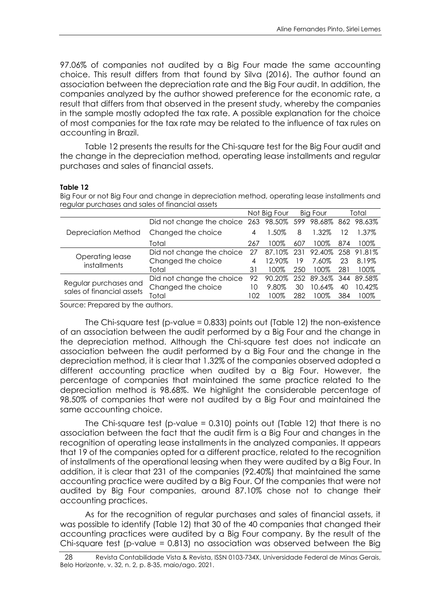97.06% of companies not audited by a Big Four made the same accounting choice. This result differs from that found by Silva (2016). The author found an association between the depreciation rate and the Big Four audit. In addition, the companies analyzed by the author showed preference for the economic rate, a result that differs from that observed in the present study, whereby the companies in the sample mostly adopted the tax rate. A possible explanation for the choice of most companies for the tax rate may be related to the influence of tax rules on accounting in Brazil.

Table 12 presents the results for the Chi-square test for the Big Four audit and the change in the depreciation method, operating lease installments and regular purchases and sales of financial assets.

#### **Table 12**

Big Four or not Big Four and change in depreciation method, operating lease installments and regular purchases and sales of financial assets

|                                                    |                                                            |     | Not Big Four |     | Big Four              |     | Total             |
|----------------------------------------------------|------------------------------------------------------------|-----|--------------|-----|-----------------------|-----|-------------------|
|                                                    | Did not change the choice 263 98.50% 599 98.68% 862 98.63% |     |              |     |                       |     |                   |
| Depreciation Method                                | Changed the choice                                         | 4   | 1.50%        | 8   | 1.32%                 | 12  | 1.37%             |
|                                                    | Total                                                      | 267 | 100%         | 607 | 100%                  | 874 | 100%              |
|                                                    | Did not change the choice                                  | 27  | 87.10%       | 231 |                       |     | 92.40% 258 91.81% |
| Operating lease<br>installments                    | Changed the choice                                         | 4   | 12.90%       | 19  | 7.60%                 | 23  | 8.19%             |
|                                                    | Total                                                      | 31  | 100%         | 250 | 100%                  | 281 | 100%              |
|                                                    | Did not change the choice                                  | 92  | 90.20%       |     | 252 89.36% 344 89.58% |     |                   |
| Regular purchases and<br>sales of financial assets | Changed the choice                                         | 10  | 9.80%        | 30  | 10.64%                | 40  | 10.42%            |
|                                                    | Total                                                      | 102 | 100%         | 282 | 100%                  | 384 | 100%              |
| $\sim$ $\sim$ $\sim$ $\sim$ $\sim$ $\sim$          | .                                                          |     |              |     |                       |     |                   |

Source: Prepared by the authors.

The Chi-square test (p-value = 0.833) points out (Table 12) the non-existence of an association between the audit performed by a Big Four and the change in the depreciation method. Although the Chi-square test does not indicate an association between the audit performed by a Big Four and the change in the depreciation method, it is clear that 1.32% of the companies observed adopted a different accounting practice when audited by a Big Four. However, the percentage of companies that maintained the same practice related to the depreciation method is 98.68%. We highlight the considerable percentage of 98.50% of companies that were not audited by a Big Four and maintained the same accounting choice.

The Chi-square test (p-value =  $0.310$ ) points out (Table 12) that there is no association between the fact that the audit firm is a Big Four and changes in the recognition of operating lease installments in the analyzed companies. It appears that 19 of the companies opted for a different practice, related to the recognition of installments of the operational leasing when they were audited by a Big Four. In addition, it is clear that 231 of the companies (92.40%) that maintained the same accounting practice were audited by a Big Four. Of the companies that were not audited by Big Four companies, around 87.10% chose not to change their accounting practices.

As for the recognition of regular purchases and sales of financial assets, it was possible to identify (Table 12) that 30 of the 40 companies that changed their accounting practices were audited by a Big Four company. By the result of the Chi-square test (p-value = 0.813) no association was observed between the Big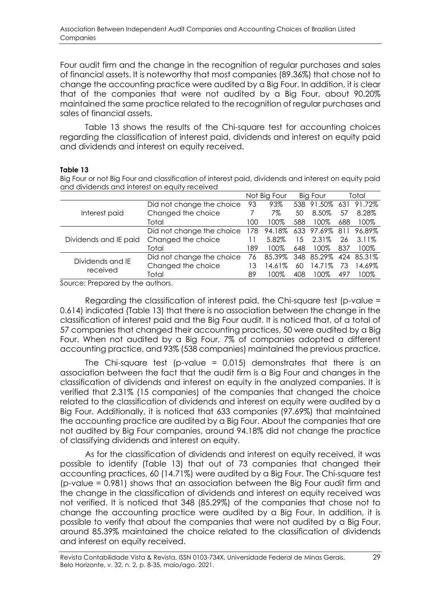Four audit firm and the change in the recognition of regular purchases and sales of financial assets. It is noteworthy that most companies (89.36%) that chose not to change the accounting practice were audited by a Big Four. In addition, it is clear that of the companies that were not audited by a Big Four, about 90.20% maintained the same practice related to the recognition of regular purchases and sales of financial assets.

Table 13 shows the results of the Chi-square test for accounting choices regarding the classification of interest paid, dividends and interest on equity paid and dividends and interest on equity received.

### **Table 13**

Big Four or not Big Four and classification of interest paid, dividends and interest on equity paid and dividends and interest on equity received

|                       |                           |     | Not Big Four |     | Big Four       |     | Total      |
|-----------------------|---------------------------|-----|--------------|-----|----------------|-----|------------|
|                       | Did not change the choice | 93  | 93%          |     | 538 91.50%     | 631 | 91.72%     |
| Interest paid         | Changed the choice        |     | 7%           | 50  | 8.50%          | 57  | 8.28%      |
|                       | Total                     | 100 | 100%         | 588 | 100%           | 688 | 100%       |
|                       | Did not change the choice | 178 | 94.18%       |     | 633 97.69% 811 |     | 96.89%     |
| Dividends and IE paid | Changed the choice        | 11  | 5.82%        | 15  | 2.31%          | 26  | 3.11%      |
|                       | Total                     | 189 | 100%         | 648 | 100%           | 837 | 100%       |
| Dividends and IE      | Did not change the choice | 76  | 85.39%       | 348 | 85.29%         |     | 424 85.31% |
| received              | Changed the choice        | 13  | 14.61%       | 60  | 14.71%         | 73  | 14.69%     |
|                       | Total                     | 89  | 100%         | 408 | 100%           | 497 | 100%       |
|                       |                           |     |              |     |                |     |            |

Source: Prepared by the authors.

Regarding the classification of interest paid, the Chi-square test (p-value = 0.614) indicated (Table 13) that there is no association between the change in the classification of interest paid and the Big Four audit. It is noticed that, of a total of 57 companies that changed their accounting practices, 50 were audited by a Big Four. When not audited by a Big Four, 7% of companies adopted a different accounting practice, and 93% (538 companies) maintained the previous practice.

The Chi-square test (p-value =  $0.015$ ) demonstrates that there is an association between the fact that the audit firm is a Big Four and changes in the classification of dividends and interest on equity in the analyzed companies. It is verified that 2.31% (15 companies) of the companies that changed the choice related to the classification of dividends and interest on equity were audited by a Big Four. Additionally, it is noticed that 633 companies (97.69%) that maintained the accounting practice are audited by a Big Four. About the companies that are not audited by Big Four companies, around 94.18% did not change the practice of classifying dividends and interest on equity.

As for the classification of dividends and interest on equity received, it was possible to identify (Table 13) that out of 73 companies that changed their accounting practices, 60 (14.71%) were audited by a Big Four. The Chi-square test (p-value = 0.981) shows that an association between the Big Four audit firm and the change in the classification of dividends and interest on equity received was not verified. It is noticed that 348 (85.29%) of the companies that chose not to change the accounting practice were audited by a Big Four. In addition, it is possible to verify that about the companies that were not audited by a Big Four, around 85.39% maintained the choice related to the classification of dividends and interest on equity received.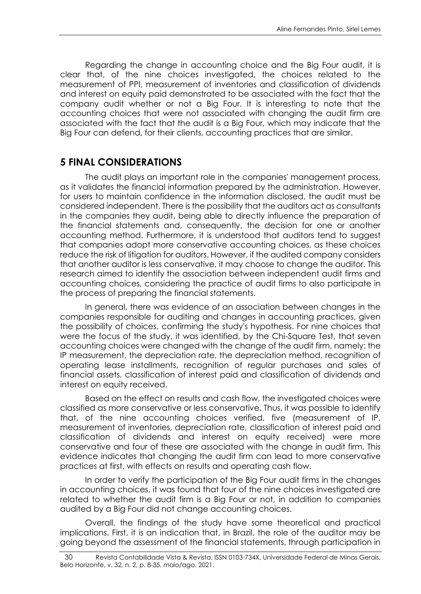Regarding the change in accounting choice and the Big Four audit, it is clear that, of the nine choices investigated, the choices related to the measurement of PPI, measurement of inventories and classification of dividends and interest on equity paid demonstrated to be associated with the fact that the company audit whether or not a Big Four. It is interesting to note that the accounting choices that were not associated with changing the audit firm are associated with the fact that the audit is a Big Four, which may indicate that the Big Four can defend, for their clients, accounting practices that are similar.

### **5 FINAL CONSIDERATIONS**

The audit plays an important role in the companies' management process, as it validates the financial information prepared by the administration. However, for users to maintain confidence in the information disclosed, the audit must be considered independent. There is the possibility that the auditors act as consultants in the companies they audit, being able to directly influence the preparation of the financial statements and, consequently, the decision for one or another accounting method. Furthermore, it is understood that auditors tend to suggest that companies adopt more conservative accounting choices, as these choices reduce the risk of litigation for auditors. However, if the audited company considers that another auditor is less conservative, it may choose to change the auditor. This research aimed to identify the association between independent audit firms and accounting choices, considering the practice of audit firms to also participate in the process of preparing the financial statements.

In general, there was evidence of an association between changes in the companies responsible for auditing and changes in accounting practices, given the possibility of choices, confirming the study's hypothesis. For nine choices that were the focus of the study, it was identified, by the Chi-Square Test, that seven accounting choices were changed with the change of the audit firm, namely: the IP measurement, the depreciation rate, the depreciation method, recognition of operating lease installments, recognition of regular purchases and sales of financial assets, classification of interest paid and classification of dividends and interest on equity received.

Based on the effect on results and cash flow, the investigated choices were classified as more conservative or less conservative. Thus, it was possible to identify that, of the nine accounting choices verified, five (measurement of IP, measurement of inventories, depreciation rate, classification of interest paid and classification of dividends and interest on equity received) were more conservative and four of these are associated with the change in audit firm. This evidence indicates that changing the audit firm can lead to more conservative practices at first, with effects on results and operating cash flow.

In order to verify the participation of the Big Four audit firms in the changes in accounting choices, it was found that four of the nine choices investigated are related to whether the audit firm is a Big Four or not, in addition to companies audited by a Big Four did not change accounting choices.

Overall, the findings of the study have some theoretical and practical implications. First, it is an indication that, in Brazil, the role of the auditor may be going beyond the assessment of the financial statements, through participation in

<sup>30</sup> Revista Contabilidade Vista & Revista, ISSN 0103-734X, Universidade Federal de Minas Gerais, Belo Horizonte, v. 32, n. 2, p. 8-35, maio/ago. 2021.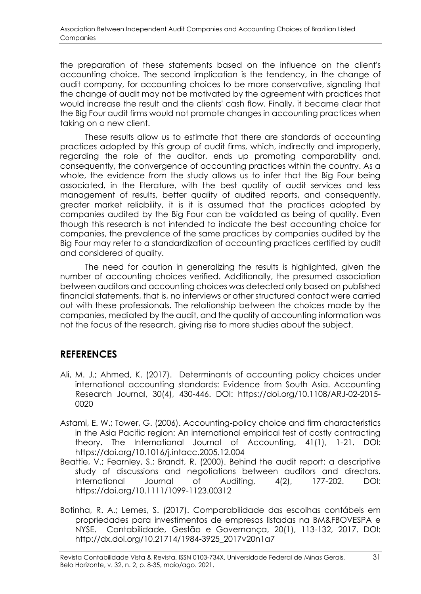the preparation of these statements based on the influence on the client's accounting choice. The second implication is the tendency, in the change of audit company, for accounting choices to be more conservative, signaling that the change of audit may not be motivated by the agreement with practices that would increase the result and the clients' cash flow. Finally, it became clear that the Big Four audit firms would not promote changes in accounting practices when taking on a new client.

These results allow us to estimate that there are standards of accounting practices adopted by this group of audit firms, which, indirectly and improperly, regarding the role of the auditor, ends up promoting comparability and, consequently, the convergence of accounting practices within the country. As a whole, the evidence from the study allows us to infer that the Big Four being associated, in the literature, with the best quality of audit services and less management of results, better quality of audited reports, and consequently, greater market reliability, it is it is assumed that the practices adopted by companies audited by the Big Four can be validated as being of quality. Even though this research is not intended to indicate the best accounting choice for companies, the prevalence of the same practices by companies audited by the Big Four may refer to a standardization of accounting practices certified by audit and considered of quality.

The need for caution in generalizing the results is highlighted, given the number of accounting choices verified. Additionally, the presumed association between auditors and accounting choices was detected only based on published financial statements, that is, no interviews or other structured contact were carried out with these professionals. The relationship between the choices made by the companies, mediated by the audit, and the quality of accounting information was not the focus of the research, giving rise to more studies about the subject.

### **REFERENCES**

- Ali, M. J.; Ahmed, K. (2017). Determinants of accounting policy choices under international accounting standards: Evidence from South Asia. Accounting Research Journal, 30(4), 430-446. DOI: https://doi.org/10.1108/ARJ-02-2015- 0020
- Astami, E. W.; Tower, G. (2006). Accounting-policy choice and firm characteristics in the Asia Pacific region: An international empirical test of costly contracting theory. The International Journal of Accounting, 41(1), 1-21. DOI: https://doi.org/10.1016/j.intacc.2005.12.004
- Beattie, V.; Fearnley, S.; Brandt, R. (2000). Behind the audit report: a descriptive study of discussions and negotiations between auditors and directors. International Journal of Auditing, 4(2), 177-202. DOI: https://doi.org/10.1111/1099-1123.00312
- Botinha, R. A.; Lemes, S. (2017). Comparabilidade das escolhas contábeis em propriedades para investimentos de empresas listadas na BM&FBOVESPA e NYSE. Contabilidade, Gestão e Governança, 20(1), 113-132, 2017. DOI: http://dx.doi.org/10.21714/1984-3925\_2017v20n1a7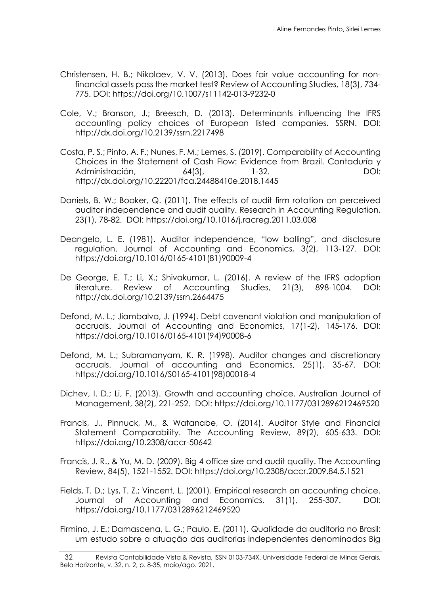- Christensen, H. B.; Nikolaev, V. V. (2013). Does fair value accounting for nonfinancial assets pass the market test? Review of Accounting Studies, 18(3), 734- 775. DOI: https://doi.org/10.1007/s11142-013-9232-0
- Cole, V.; Branson, J.; Breesch, D. (2013). Determinants influencing the IFRS accounting policy choices of European listed companies. SSRN. DOI: http://dx.doi.org/10.2139/ssrn.2217498
- Costa, P. S.; Pinto, A. F.; Nunes, F. M.; Lemes, S. (2019). Comparability of Accounting Choices in the Statement of Cash Flow: Evidence from Brazil. Contaduría y Administración, 64(3), 1-32. DOI: http://dx.doi.org/10.22201/fca.24488410e.2018.1445
- Daniels, B. W.; Booker, Q. (2011). The effects of audit firm rotation on perceived auditor independence and audit quality. Research in Accounting Regulation, 23(1), 78-82. DOI: https://doi.org/10.1016/j.racreg.2011.03.008
- Deangelo, L. E. (1981). Auditor independence, "low balling", and disclosure regulation. Journal of Accounting and Economics, 3(2), 113-127. DOI: https://doi.org/10.1016/0165-4101(81)90009-4
- De George, E. T.; Li, X.; Shivakumar, L. (2016). A review of the IFRS adoption literature. Review of Accounting Studies, 21(3), 898-1004. DOI: http://dx.doi.org/10.2139/ssrn.2664475
- Defond, M. L.; Jiambalvo, J. (1994). Debt covenant violation and manipulation of accruals. Journal of Accounting and Economics, 17(1-2), 145-176. DOI: https://doi.org/10.1016/0165-4101(94)90008-6
- Defond, M. L.; Subramanyam, K. R. (1998). Auditor changes and discretionary accruals. Journal of accounting and Economics, 25(1), 35-67. DOI: https://doi.org/10.1016/S0165-4101(98)00018-4
- Dichev, I. D.; Li, F. (2013). Growth and accounting choice. Australian Journal of Management, 38(2), 221-252. DOI: https://doi.org/10.1177/0312896212469520
- Francis, J., Pinnuck, M., & Watanabe, O. (2014). Auditor Style and Financial Statement Comparability. The Accounting Review, 89(2), 605-633. DOI: https://doi.org/10.2308/accr-50642
- Francis, J. R., & Yu, M. D. (2009). Big 4 office size and audit quality. The Accounting Review, 84(5), 1521-1552. DOI: https://doi.org/10.2308/accr.2009.84.5.1521
- Fields, T. D.; Lys, T. Z.; Vincent, L. (2001). Empirical research on accounting choice. Journal of Accounting and Economics, 31(1), 255-307. DOI: https://doi.org/10.1177/0312896212469520
- Firmino, J. E.; Damascena, L. G.; Paulo, E. (2011). Qualidade da auditoria no Brasil: um estudo sobre a atuação das auditorias independentes denominadas Big

<sup>32</sup> Revista Contabilidade Vista & Revista, ISSN 0103-734X, Universidade Federal de Minas Gerais, Belo Horizonte, v. 32, n. 2, p. 8-35, maio/ago. 2021.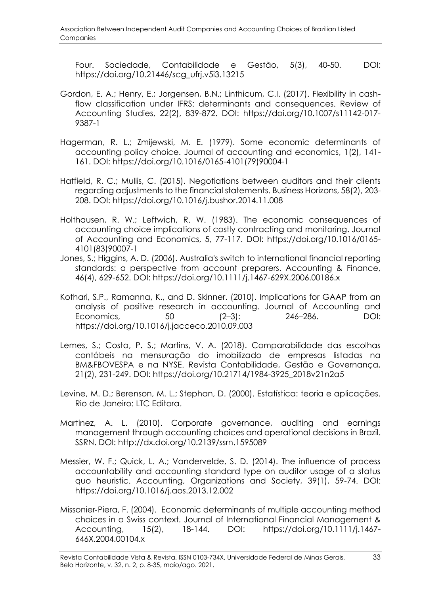Four. Sociedade, Contabilidade e Gestão, 5(3), 40-50. DOI: https://doi.org/10.21446/scg\_ufrj.v5i3.13215

- Gordon, E. A.; Henry, E.; Jorgensen, B.N.; Linthicum, C.I. (2017). Flexibility in cashflow classification under IFRS: determinants and consequences. Review of Accounting Studies, 22(2), 839-872. DOI: https://doi.org/10.1007/s11142-017- 9387-1
- Hagerman, R. L.; Zmijewski, M. E. (1979). Some economic determinants of accounting policy choice. Journal of accounting and economics, 1(2), 141- 161. DOI: https://doi.org/10.1016/0165-4101(79)90004-1
- Hatfield, R. C.; Mullis, C. (2015). Negotiations between auditors and their clients regarding adjustments to the financial statements. Business Horizons, 58(2), 203- 208. DOI: https://doi.org/10.1016/j.bushor.2014.11.008
- Holthausen, R. W.; Leftwich, R. W. (1983). The economic consequences of accounting choice implications of costly contracting and monitoring. Journal of Accounting and Economics, 5, 77-117. DOI: https://doi.org/10.1016/0165- 4101(83)90007-1
- Jones, S.; Higgins, A. D. (2006). Australia's switch to international financial reporting standards: a perspective from account preparers. Accounting & Finance, 46(4), 629-652. DOI: https://doi.org/10.1111/j.1467-629X.2006.00186.x
- Kothari, S.P., Ramanna, K., and D. Skinner. (2010). Implications for GAAP from an analysis of positive research in accounting. Journal of Accounting and Economics, 50 (2–3): 246–286. DOI: https://doi.org/10.1016/j.jacceco.2010.09.003
- Lemes, S.; Costa, P. S.; Martins, V. A. (2018). Comparabilidade das escolhas contábeis na mensuração do imobilizado de empresas listadas na BM&FBOVESPA e na NYSE. Revista Contabilidade, Gestão e Governança, 21(2), 231-249. DOI: https://doi.org/10.21714/1984-3925\_2018v21n2a5
- Levine, M. D.; Berenson, M. L.; Stephan, D. (2000). Estatística: teoria e aplicações. Rio de Janeiro: LTC Editora.
- Martinez, A. L. (2010). Corporate governance, auditing and earnings management through accounting choices and operational decisions in Brazil. SSRN. DOI: http://dx.doi.org/10.2139/ssrn.1595089
- Messier, W. F.; Quick, L. A.; Vandervelde, S. D. (2014). The influence of process accountability and accounting standard type on auditor usage of a status quo heuristic. Accounting, Organizations and Society, 39(1), 59-74. DOI: https://doi.org/10.1016/j.aos.2013.12.002
- Missonier‐Piera, F. (2004). Economic determinants of multiple accounting method choices in a Swiss context. Journal of International Financial Management & Accounting, 15(2), 18-144. DOI: https://doi.org/10.1111/j.1467- 646X.2004.00104.x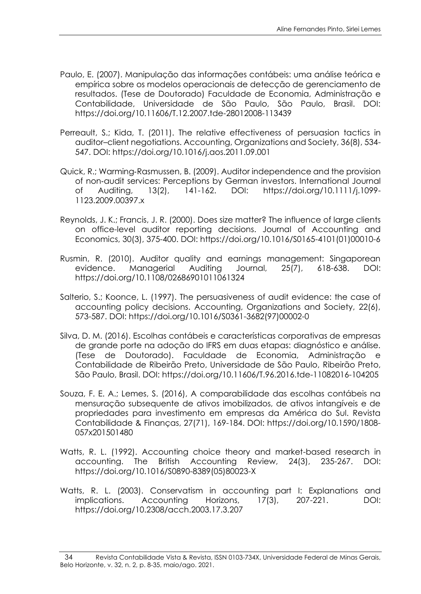- Paulo, E. (2007). Manipulação das informações contábeis: uma análise teórica e empírica sobre os modelos operacionais de detecção de gerenciamento de resultados. (Tese de Doutorado) Faculdade de Economia, Administração e Contabilidade, Universidade de São Paulo, São Paulo, Brasil. DOI: https://doi.org/10.11606/T.12.2007.tde-28012008-113439
- Perreault, S.; Kida, T. (2011). The relative effectiveness of persuasion tactics in auditor–client negotiations. Accounting, Organizations and Society, 36(8), 534- 547. DOI: https://doi.org/10.1016/j.aos.2011.09.001
- Quick, R.; Warming‐Rasmussen, B. (2009). Auditor independence and the provision of non‐audit services: Perceptions by German investors. International Journal of Auditing, 13(2), 141-162. DOI: https://doi.org/10.1111/j.1099- 1123.2009.00397.x
- Reynolds, J. K.; Francis, J. R. (2000). Does size matter? The influence of large clients on office-level auditor reporting decisions. Journal of Accounting and Economics, 30(3), 375-400. DOI: https://doi.org/10.1016/S0165-4101(01)00010-6
- Rusmin, R. (2010). Auditor quality and earnings management: Singaporean evidence. Managerial Auditing Journal, 25(7), 618-638. DOI: https://doi.org/10.1108/02686901011061324
- Salterio, S.; Koonce, L. (1997). The persuasiveness of audit evidence: the case of accounting policy decisions. Accounting, Organizations and Society, 22(6), 573-587. DOI: https://doi.org/10.1016/S0361-3682(97)00002-0
- Silva, D. M. (2016). Escolhas contábeis e características corporativas de empresas de grande porte na adoção do IFRS em duas etapas: diagnóstico e análise. (Tese de Doutorado). Faculdade de Economia, Administração e Contabilidade de Ribeirão Preto, Universidade de São Paulo, Ribeirão Preto, São Paulo, Brasil. DOI: https://doi.org/10.11606/T.96.2016.tde-11082016-104205
- Souza, F. E. A.; Lemes, S. (2016), A comparabilidade das escolhas contábeis na mensuração subsequente de ativos imobilizados, de ativos intangíveis e de propriedades para investimento em empresas da América do Sul. Revista Contabilidade & Finanças, 27(71), 169-184. DOI: https://doi.org/10.1590/1808- 057x201501480
- Watts, R. L. (1992). Accounting choice theory and market-based research in accounting. The British Accounting Review, 24(3), 235-267. DOI: https://doi.org/10.1016/S0890-8389(05)80023-X
- Watts, R. L. (2003). Conservatism in accounting part I: Explanations and implications. Accounting Horizons, 17(3), 207-221. DOI: https://doi.org/10.2308/acch.2003.17.3.207

<sup>34</sup> Revista Contabilidade Vista & Revista, ISSN 0103-734X, Universidade Federal de Minas Gerais, Belo Horizonte, v. 32, n. 2, p. 8-35, maio/ago. 2021.